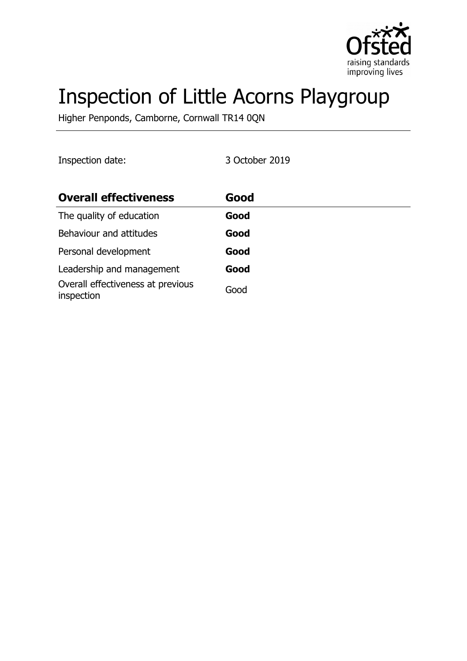

# Inspection of Little Acorns Playgroup

Higher Penponds, Camborne, Cornwall TR14 0QN

Inspection date: 3 October 2019

| <b>Overall effectiveness</b>                    | Good |
|-------------------------------------------------|------|
| The quality of education                        | Good |
| Behaviour and attitudes                         | Good |
| Personal development                            | Good |
| Leadership and management                       | Good |
| Overall effectiveness at previous<br>inspection | Good |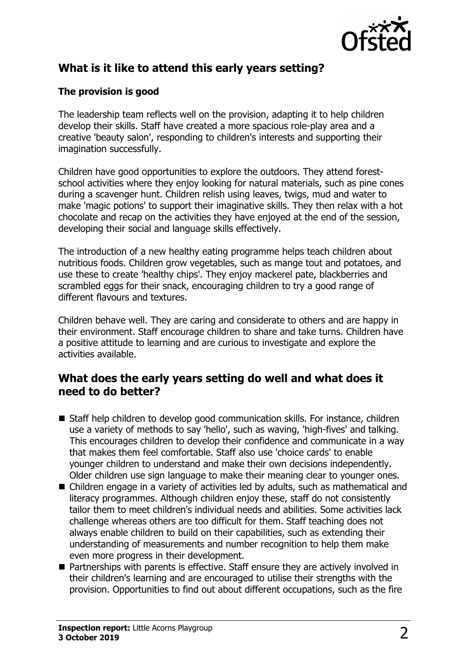

# **What is it like to attend this early years setting?**

### **The provision is good**

The leadership team reflects well on the provision, adapting it to help children develop their skills. Staff have created a more spacious role-play area and a creative 'beauty salon', responding to children's interests and supporting their imagination successfully.

Children have good opportunities to explore the outdoors. They attend forestschool activities where they enjoy looking for natural materials, such as pine cones during a scavenger hunt. Children relish using leaves, twigs, mud and water to make 'magic potions' to support their imaginative skills. They then relax with a hot chocolate and recap on the activities they have enjoyed at the end of the session, developing their social and language skills effectively.

The introduction of a new healthy eating programme helps teach children about nutritious foods. Children grow vegetables, such as mange tout and potatoes, and use these to create 'healthy chips'. They enjoy mackerel pate, blackberries and scrambled eggs for their snack, encouraging children to try a good range of different flavours and textures.

Children behave well. They are caring and considerate to others and are happy in their environment. Staff encourage children to share and take turns. Children have a positive attitude to learning and are curious to investigate and explore the activities available.

## **What does the early years setting do well and what does it need to do better?**

- Staff help children to develop good communication skills. For instance, children use a variety of methods to say 'hello', such as waving, 'high-fives' and talking. This encourages children to develop their confidence and communicate in a way that makes them feel comfortable. Staff also use 'choice cards' to enable younger children to understand and make their own decisions independently. Older children use sign language to make their meaning clear to younger ones.
- $\blacksquare$  Children engage in a variety of activities led by adults, such as mathematical and literacy programmes. Although children enjoy these, staff do not consistently tailor them to meet children's individual needs and abilities. Some activities lack challenge whereas others are too difficult for them. Staff teaching does not always enable children to build on their capabilities, such as extending their understanding of measurements and number recognition to help them make even more progress in their development.
- $\blacksquare$  Partnerships with parents is effective. Staff ensure they are actively involved in their children's learning and are encouraged to utilise their strengths with the provision. Opportunities to find out about different occupations, such as the fire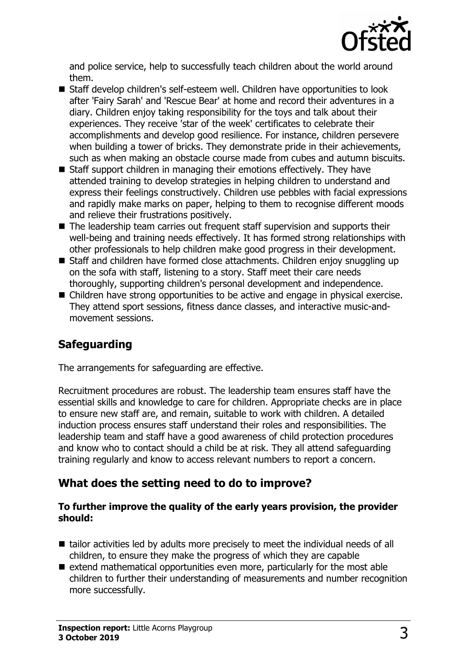

and police service, help to successfully teach children about the world around them.

- Staff develop children's self-esteem well. Children have opportunities to look after 'Fairy Sarah' and 'Rescue Bear' at home and record their adventures in a diary. Children enjoy taking responsibility for the toys and talk about their experiences. They receive 'star of the week' certificates to celebrate their accomplishments and develop good resilience. For instance, children persevere when building a tower of bricks. They demonstrate pride in their achievements, such as when making an obstacle course made from cubes and autumn biscuits.
- $\blacksquare$  Staff support children in managing their emotions effectively. They have attended training to develop strategies in helping children to understand and express their feelings constructively. Children use pebbles with facial expressions and rapidly make marks on paper, helping to them to recognise different moods and relieve their frustrations positively.
- $\blacksquare$  The leadership team carries out frequent staff supervision and supports their well-being and training needs effectively. It has formed strong relationships with other professionals to help children make good progress in their development.
- Staff and children have formed close attachments. Children enjoy snuggling up on the sofa with staff, listening to a story. Staff meet their care needs thoroughly, supporting children's personal development and independence.
- Children have strong opportunities to be active and engage in physical exercise. They attend sport sessions, fitness dance classes, and interactive music-andmovement sessions.

# **Safeguarding**

The arrangements for safeguarding are effective.

Recruitment procedures are robust. The leadership team ensures staff have the essential skills and knowledge to care for children. Appropriate checks are in place to ensure new staff are, and remain, suitable to work with children. A detailed induction process ensures staff understand their roles and responsibilities. The leadership team and staff have a good awareness of child protection procedures and know who to contact should a child be at risk. They all attend safeguarding training regularly and know to access relevant numbers to report a concern.

## **What does the setting need to do to improve?**

#### **To further improve the quality of the early years provision, the provider should:**

- $\blacksquare$  tailor activities led by adults more precisely to meet the individual needs of all children, to ensure they make the progress of which they are capable
- $\blacksquare$  extend mathematical opportunities even more, particularly for the most able children to further their understanding of measurements and number recognition more successfully.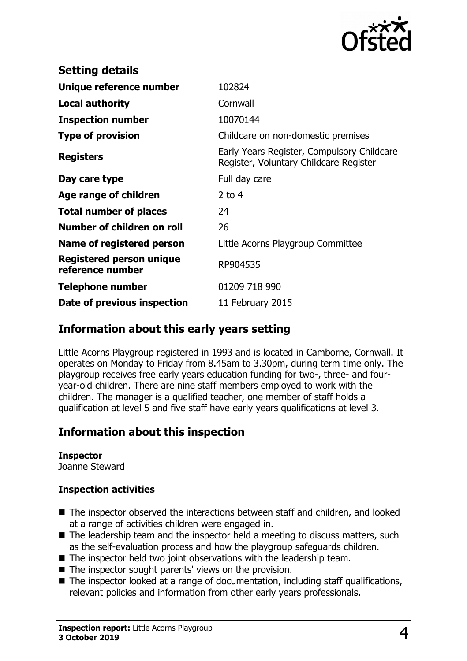

| <b>Setting details</b>                              |                                                                                      |
|-----------------------------------------------------|--------------------------------------------------------------------------------------|
| Unique reference number                             | 102824                                                                               |
| <b>Local authority</b>                              | Cornwall                                                                             |
| <b>Inspection number</b>                            | 10070144                                                                             |
| <b>Type of provision</b>                            | Childcare on non-domestic premises                                                   |
| <b>Registers</b>                                    | Early Years Register, Compulsory Childcare<br>Register, Voluntary Childcare Register |
| Day care type                                       | Full day care                                                                        |
| Age range of children                               | 2 to $4$                                                                             |
| <b>Total number of places</b>                       | 24                                                                                   |
| Number of children on roll                          | 26                                                                                   |
| Name of registered person                           | Little Acorns Playgroup Committee                                                    |
| <b>Registered person unique</b><br>reference number | RP904535                                                                             |
| <b>Telephone number</b>                             | 01209 718 990                                                                        |
| Date of previous inspection                         | 11 February 2015                                                                     |

## **Information about this early years setting**

Little Acorns Playgroup registered in 1993 and is located in Camborne, Cornwall. It operates on Monday to Friday from 8.45am to 3.30pm, during term time only. The playgroup receives free early years education funding for two-, three- and fouryear-old children. There are nine staff members employed to work with the children. The manager is a qualified teacher, one member of staff holds a qualification at level 5 and five staff have early years qualifications at level 3.

# **Information about this inspection**

#### **Inspector**

Joanne Steward

#### **Inspection activities**

- $\blacksquare$  The inspector observed the interactions between staff and children, and looked at a range of activities children were engaged in.
- $\blacksquare$  The leadership team and the inspector held a meeting to discuss matters, such as the self-evaluation process and how the playgroup safeguards children.
- $\blacksquare$  The inspector held two joint observations with the leadership team.
- $\blacksquare$  The inspector sought parents' views on the provision.
- $\blacksquare$  The inspector looked at a range of documentation, including staff qualifications, relevant policies and information from other early years professionals.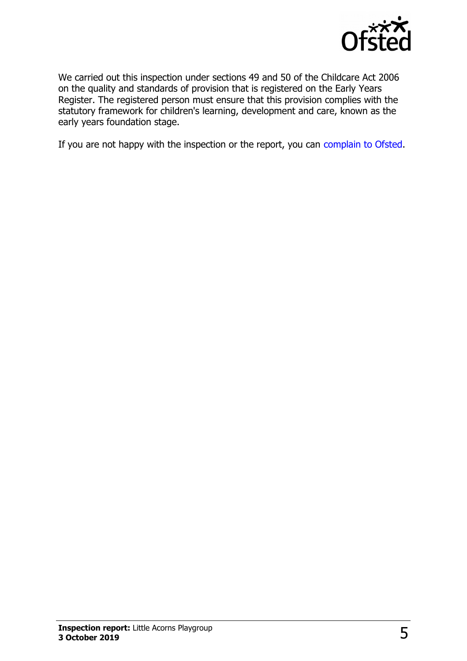

We carried out this inspection under sections 49 and 50 of the Childcare Act 2006 on the quality and standards of provision that is registered on the Early Years Register. The registered person must ensure that this provision complies with the statutory framework for children's learning, development and care, known as the early years foundation stage.

If you are not happy with the inspection or the report, you can [complain to Ofsted.](http://www.gov.uk/complain-ofsted-report)